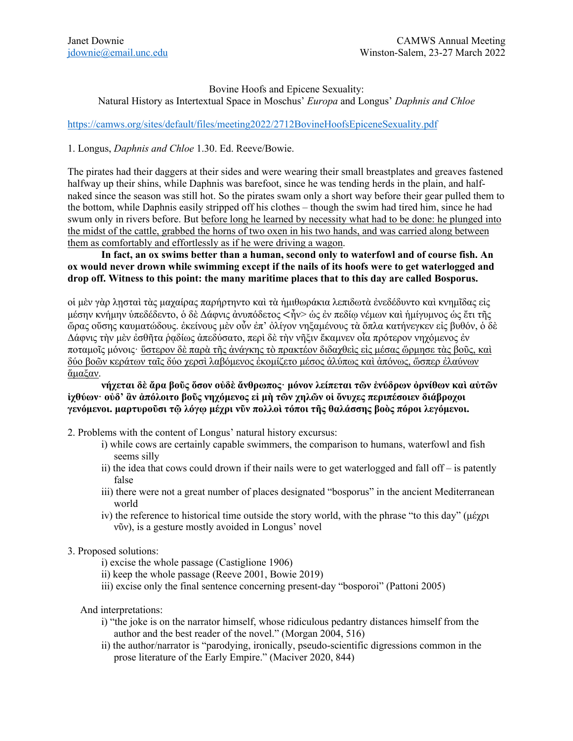Bovine Hoofs and Epicene Sexuality:

Natural History as Intertextual Space in Moschus' *Europa* and Longus' *Daphnis and Chloe*

https://camws.org/sites/default/files/meeting2022/2712BovineHoofsEpiceneSexuality.pdf

#### 1. Longus, *Daphnis and Chloe* 1.30. Ed. Reeve/Bowie.

The pirates had their daggers at their sides and were wearing their small breastplates and greaves fastened halfway up their shins, while Daphnis was barefoot, since he was tending herds in the plain, and halfnaked since the season was still hot. So the pirates swam only a short way before their gear pulled them to the bottom, while Daphnis easily stripped off his clothes – though the swim had tired him, since he had swum only in rivers before. But before long he learned by necessity what had to be done: he plunged into the midst of the cattle, grabbed the horns of two oxen in his two hands, and was carried along between them as comfortably and effortlessly as if he were driving a wagon.

## **In fact, an ox swims better than a human, second only to waterfowl and of course fish. An ox would never drown while swimming except if the nails of its hoofs were to get waterlogged and drop off. Witness to this point: the many maritime places that to this day are called Bosporus.**

οἱ μὲν γὰρ λῃσταὶ τὰς μαχαίρας παρήρτηντο καὶ τὰ ἡμιθωράκια λεπιδωτὰ ἐνεδέδυντο καὶ κνημῖδας εἰς μέσην κνήμην ὑπεδέδεντο, ὁ δὲ Δάφνις ἀνυπόδετος <ἦν> ὡς ἐν πεδίῳ νέμων καὶ ἡμίγυμνος ὡς ἔτι τῆς ὥρας οὔσης καυματώδους. ἐκείνους μὲν οὖν ἐπ' ὀλίγον νηξαμένους τὰ ὅπλα κατήνεγκεν εἰς βυθόν, ὁ δὲ Δάφνις τὴν μὲν ἐσθῆτα ῥᾳδίως ἀπεδύσατο, περὶ δὲ τὴν νῆξιν ἔκαμνεν οἷα πρότερον νηχόμενος ἐν ποταμοῖς μόνοις· ὕστερον δὲ παρὰ τῆς ἀνάγκης τὸ πρακτέον διδαχθεὶς εἰς μέσας ὥρμησε τὰς βοῦς, καὶ δύο βοῶν κεράτων ταῖς δύο χερσὶ λαβόμενος ἐκομίζετο μέσος ἀλύπως καὶ ἀπόνως, ὥσπερ ἐλαύνων ἅμαξαν.

**νήχεται δὲ ἄρα βοῦς ὅσον οὐδὲ ἄνθρωπος· μόνον λείπεται τῶν ἐνύδρων ὀρνίθων καὶ αὐτῶν ἰχθύων· οὐδ' ἂν ἀπόλοιτο βοῦς νηχόμενος εἰ μὴ τῶν χηλῶν οἱ ὄνυχες περιπέσοιεν διάβροχοι γενόμενοι. μαρτυροῦσι τῷ λόγῳ μέχρι νῦν πολλοὶ τόποι τῆς θαλάσσης βοὸς πόροι λεγόμενοι.**

2. Problems with the content of Longus' natural history excursus:

- i) while cows are certainly capable swimmers, the comparison to humans, waterfowl and fish seems silly
- ii) the idea that cows could drown if their nails were to get waterlogged and fall off is patently false
- iii) there were not a great number of places designated "bosporus" in the ancient Mediterranean world
- iv) the reference to historical time outside the story world, with the phrase "to this day" (μέχρι νῦν), is a gesture mostly avoided in Longus' novel

#### 3. Proposed solutions:

- i) excise the whole passage (Castiglione 1906)
- ii) keep the whole passage (Reeve 2001, Bowie 2019)
- iii) excise only the final sentence concerning present-day "bosporoi" (Pattoni 2005)

And interpretations:

- i) "the joke is on the narrator himself, whose ridiculous pedantry distances himself from the author and the best reader of the novel." (Morgan 2004, 516)
- ii) the author/narrator is "parodying, ironically, pseudo-scientific digressions common in the prose literature of the Early Empire." (Maciver 2020, 844)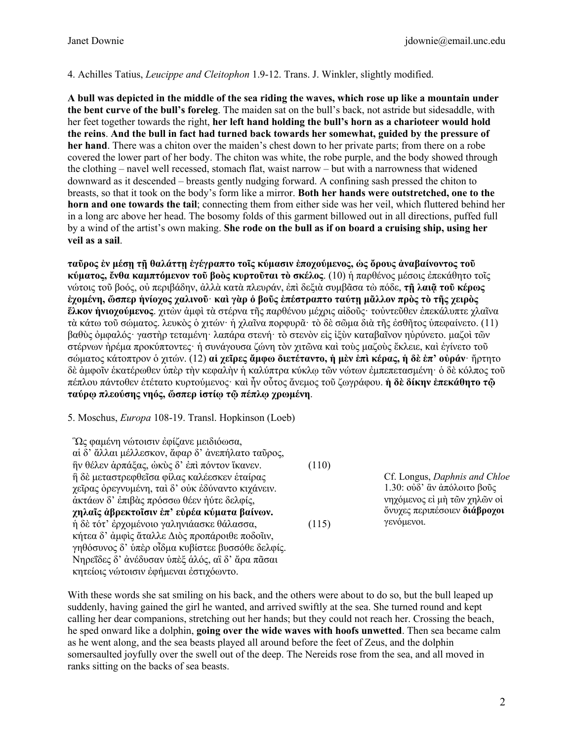## 4. Achilles Tatius, *Leucippe and Cleitophon* 1.9-12. Trans. J. Winkler, slightly modified.

**A bull was depicted in the middle of the sea riding the waves, which rose up like a mountain under the bent curve of the bull's foreleg**. The maiden sat on the bull's back, not astride but sidesaddle, with her feet together towards the right, **her left hand holding the bull's horn as a charioteer would hold the reins**. **And the bull in fact had turned back towards her somewhat, guided by the pressure of her hand**. There was a chiton over the maiden's chest down to her private parts; from there on a robe covered the lower part of her body. The chiton was white, the robe purple, and the body showed through the clothing – navel well recessed, stomach flat, waist narrow – but with a narrowness that widened downward as it descended – breasts gently nudging forward. A confining sash pressed the chiton to breasts, so that it took on the body's form like a mirror. **Both her hands were outstretched, one to the horn and one towards the tail**; connecting them from either side was her veil, which fluttered behind her in a long arc above her head. The bosomy folds of this garment billowed out in all directions, puffed full by a wind of the artist's own making. **She rode on the bull as if on board a cruising ship, using her veil as a sail**.

**ταῦρος ἐν μέσῃ τῇ θαλάττῃ ἐγέγραπτο τοῖς κύμασιν ἐποχούμενος, ὡς ὄρους ἀναβαίνοντος τοῦ κύματος, ἔνθα καμπτόμενον τοῦ βοὸς κυρτοῦται τὸ σκέλος**. (10) ἡ παρθένος μέσοις ἐπεκάθητο τοῖς νώτοις τοῦ βοός, οὐ περιβάδην, ἀλλὰ κατὰ πλευράν, ἐπὶ δεξιὰ συμβᾶσα τὼ πόδε, **τῇ λαιᾷ τοῦ κέρως ἐχομένη, ὥσπερ ἡνίοχος χαλινοῦ**· **καὶ γὰρ ὁ βοῦς ἐπέστραπτο ταύτῃ μᾶλλον πρὸς τὸ τῆς χειρὸς ἕλκον ἡνιοχούμενος**. χιτὼν ἀμφὶ τὰ στέρνα τῆς παρθένου μέχρις αἰδοῦς· τοὐντεῦθεν ἐπεκάλυπτε χλαῖνα τὰ κάτω τοῦ σώματος. λευκὸς ὁ χιτών· ἡ χλαῖνα πορφυρᾶ· τὸ δὲ σῶμα διὰ τῆς ἐσθῆτος ὑπεφαίνετο. (11) βαθὺς ὀμφαλός· γαστὴρ τεταμένη· λαπάρα στενή· τὸ στενὸν εἰς ἰξὺν καταβαῖνον ηὐρύνετο. μαζοὶ τῶν στέρνων ἠρέμα προκύπτοντες· ἡ συνάγουσα ζώνη τὸν χιτῶνα καὶ τοὺς μαζοὺς ἔκλειε, καὶ ἐγίνετο τοῦ σώματος κάτοπτρον ὁ χιτών. (12) **αἱ χεῖρες ἄμφω διετέταντο, ἡ μὲν ἐπὶ κέρας, ἡ δὲ ἐπ' οὐράν**· ἤρτητο δὲ ἀμφοῖν ἑκατέρωθεν ὑπὲρ τὴν κεφαλὴν ἡ καλύπτρα κύκλῳ τῶν νώτων ἐμπεπετασμένη· ὁ δὲ κόλπος τοῦ πέπλου πάντοθεν ἐτέτατο κυρτούμενος· καὶ ἦν οὗτος ἄνεμος τοῦ ζωγράφου. **ἡ δὲ δίκην ἐπεκάθητο τῷ ταύρῳ πλεούσης νηός, ὥσπερ ἱστίῳ τῷ πέπλῳ χρωμένη**.

#### 5. Moschus, *Europa* 108-19. Transl. Hopkinson (Loeb)

Ὣς φαμένη νώτοισιν ἐφίζανε μειδιόωσα, αἱ δ' ἄλλαι μέλλεσκον, ἄφαρ δ' ἀνεπήλατο ταῦρος,  $\hat{\eta}$ ν θέλεν άρπάξας, ώκὺς δ' ἐπὶ πόντον ἵκανεν. (110) ἣ δὲ μεταστρεφθεῖσα φίλας καλέεσκεν ἑταίρας χεῖρας ὀρεγνυμένη, ταὶ δ' οὐκ ἐδύναντο κιχάνειν. ἀκτάων δ' ἐπιβὰς πρόσσω θέεν ἠύτε δελφίς, **χηλαῖς ἀβρεκτοῖσιν ἐπ' εὐρέα κύματα βαίνων.** ἡ δὲ τότ' ἐρχομένοιο γαληνιάασκε θάλασσα, (115) κήτεα δ' ἀμφὶς ἄταλλε Διὸς προπάροιθε ποδοῖιν, γηθόσυνος δ' ὑπὲρ οἶδμα κυβίστεε βυσσόθε δελφίς. Νηρεΐδες δ' ἀνέδυσαν ὑπὲξ ἁλός, αἳ δ' ἄρα πᾶσαι κητείοις νώτοισιν ἐφήμεναι ἐστιχόωντο.

Cf. Longus, *Daphnis and Chloe* 1.30: οὐδ' ἂν ἀπόλοιτο βοῦς νηχόμενος εἰ μὴ τῶν χηλῶν οἱ ὄνυχες περιπέσοιεν **διάβροχοι**  γενόμενοι.

With these words she sat smiling on his back, and the others were about to do so, but the bull leaped up suddenly, having gained the girl he wanted, and arrived swiftly at the sea. She turned round and kept calling her dear companions, stretching out her hands; but they could not reach her. Crossing the beach, he sped onward like a dolphin, **going over the wide waves with hoofs unwetted**. Then sea became calm as he went along, and the sea beasts played all around before the feet of Zeus, and the dolphin somersaulted joyfully over the swell out of the deep. The Nereids rose from the sea, and all moved in ranks sitting on the backs of sea beasts.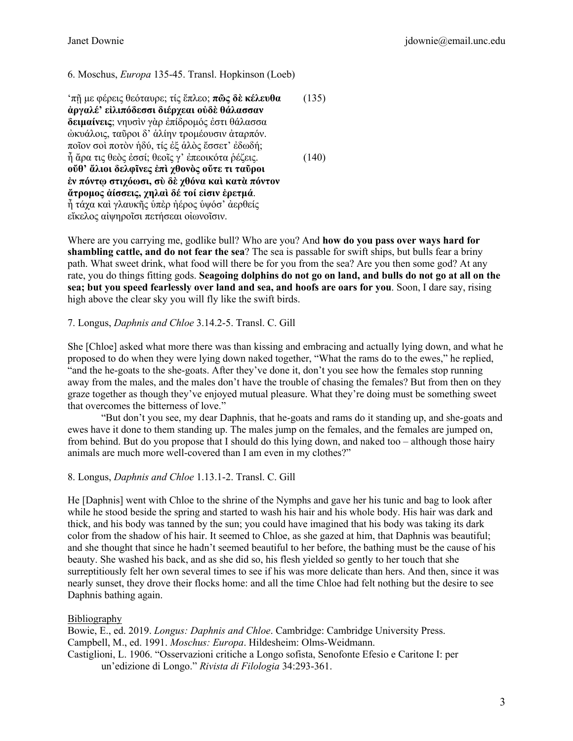6. Moschus, *Europa* 135-45. Transl. Hopkinson (Loeb)

'πῇ με φέρεις θεόταυρε; τίς ἔπλεο; **πῶς δὲ κέλευθα** (135) **ἀργαλέ' εἰλιπόδεσσι διέρχεαι οὐδὲ θάλασσαν δειμαίνεις**; νηυσὶν γὰρ ἐπίδρομός ἐστι θάλασσα ὠκυάλοις, ταῦροι δ' ἁλίην τρομέουσιν ἀταρπόν. ποῖον σοὶ ποτὸν ἡδύ, τίς ἐξ ἁλὸς ἔσσετ' ἐδωδή; ἦ ἄρα τις θεὸς ἐσσί; θεοῖς γ' ἐπεοικότα ῥέζεις. (140) **οὔθ' ἅλιοι δελφῖνες ἐπὶ χθονὸς οὔτε τι ταῦροι ἐν πόντῳ στιχόωσι, σὺ δὲ χθόνα καὶ κατὰ πόντον ἄτρομος ἀίσσεις, χηλαὶ δέ τοί εἰσιν ἐρετμά**. ἦ τάχα καὶ γλαυκῆς ὑπὲρ ἠέρος ὑψόσ' ἀερθείς εἴκελος αἰψηροῖσι πετήσεαι οἰωνοῖσιν.

Where are you carrying me, godlike bull? Who are you? And **how do you pass over ways hard for shambling cattle, and do not fear the sea**? The sea is passable for swift ships, but bulls fear a briny path. What sweet drink, what food will there be for you from the sea? Are you then some god? At any rate, you do things fitting gods. **Seagoing dolphins do not go on land, and bulls do not go at all on the sea; but you speed fearlessly over land and sea, and hoofs are oars for you**. Soon, I dare say, rising high above the clear sky you will fly like the swift birds.

#### 7. Longus, *Daphnis and Chloe* 3.14.2-5. Transl. C. Gill

She [Chloe] asked what more there was than kissing and embracing and actually lying down, and what he proposed to do when they were lying down naked together, "What the rams do to the ewes," he replied, "and the he-goats to the she-goats. After they've done it, don't you see how the females stop running away from the males, and the males don't have the trouble of chasing the females? But from then on they graze together as though they've enjoyed mutual pleasure. What they're doing must be something sweet that overcomes the bitterness of love."

"But don't you see, my dear Daphnis, that he-goats and rams do it standing up, and she-goats and ewes have it done to them standing up. The males jump on the females, and the females are jumped on, from behind. But do you propose that I should do this lying down, and naked too – although those hairy animals are much more well-covered than I am even in my clothes?"

#### 8. Longus, *Daphnis and Chloe* 1.13.1-2. Transl. C. Gill

He [Daphnis] went with Chloe to the shrine of the Nymphs and gave her his tunic and bag to look after while he stood beside the spring and started to wash his hair and his whole body. His hair was dark and thick, and his body was tanned by the sun; you could have imagined that his body was taking its dark color from the shadow of his hair. It seemed to Chloe, as she gazed at him, that Daphnis was beautiful; and she thought that since he hadn't seemed beautiful to her before, the bathing must be the cause of his beauty. She washed his back, and as she did so, his flesh yielded so gently to her touch that she surreptitiously felt her own several times to see if his was more delicate than hers. And then, since it was nearly sunset, they drove their flocks home: and all the time Chloe had felt nothing but the desire to see Daphnis bathing again.

# Bibliography

Bowie, E., ed. 2019. *Longus: Daphnis and Chloe*. Cambridge: Cambridge University Press. Campbell, M., ed. 1991. *Moschus: Europa*. Hildesheim: Olms-Weidmann. Castiglioni, L. 1906. "Osservazioni critiche a Longo sofista, Senofonte Efesio e Caritone I: per un'edizione di Longo." *Rivista di Filologia* 34:293-361.